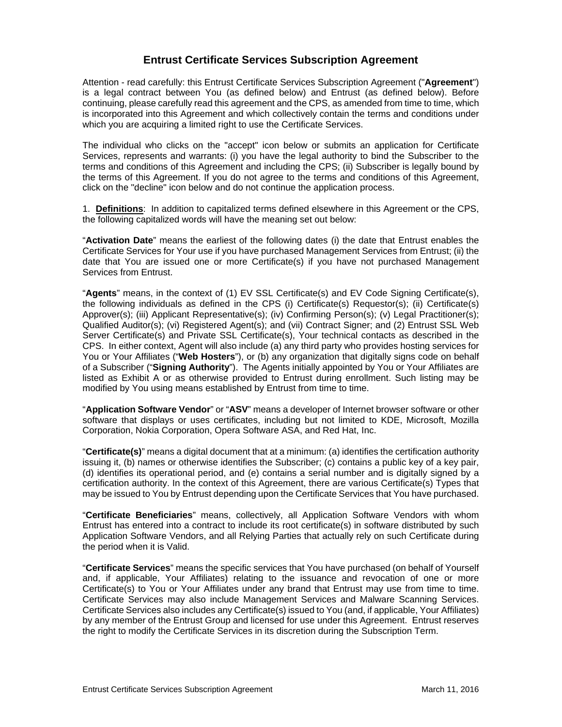# **Entrust Certificate Services Subscription Agreement**

Attention - read carefully: this Entrust Certificate Services Subscription Agreement ("**Agreement**") is a legal contract between You (as defined below) and Entrust (as defined below). Before continuing, please carefully read this agreement and the CPS, as amended from time to time, which is incorporated into this Agreement and which collectively contain the terms and conditions under which you are acquiring a limited right to use the Certificate Services.

The individual who clicks on the "accept" icon below or submits an application for Certificate Services, represents and warrants: (i) you have the legal authority to bind the Subscriber to the terms and conditions of this Agreement and including the CPS; (ii) Subscriber is legally bound by the terms of this Agreement. If you do not agree to the terms and conditions of this Agreement, click on the "decline" icon below and do not continue the application process.

1. **Definitions**: In addition to capitalized terms defined elsewhere in this Agreement or the CPS, the following capitalized words will have the meaning set out below:

"**Activation Date**" means the earliest of the following dates (i) the date that Entrust enables the Certificate Services for Your use if you have purchased Management Services from Entrust; (ii) the date that You are issued one or more Certificate(s) if you have not purchased Management Services from Entrust.

"**Agents**" means, in the context of (1) EV SSL Certificate(s) and EV Code Signing Certificate(s), the following individuals as defined in the CPS (i) Certificate(s) Requestor(s); (ii) Certificate(s) Approver(s); (iii) Applicant Representative(s); (iv) Confirming Person(s); (v) Legal Practitioner(s); Qualified Auditor(s); (vi) Registered Agent(s); and (vii) Contract Signer; and (2) Entrust SSL Web Server Certificate(s) and Private SSL Certificate(s), Your technical contacts as described in the CPS. In either context, Agent will also include (a) any third party who provides hosting services for You or Your Affiliates ("**Web Hosters**"), or (b) any organization that digitally signs code on behalf of a Subscriber ("**Signing Authority**"). The Agents initially appointed by You or Your Affiliates are listed as Exhibit A or as otherwise provided to Entrust during enrollment. Such listing may be modified by You using means established by Entrust from time to time.

"**Application Software Vendor**" or "**ASV**" means a developer of Internet browser software or other software that displays or uses certificates, including but not limited to KDE, Microsoft, Mozilla Corporation, Nokia Corporation, Opera Software ASA, and Red Hat, Inc.

"**Certificate(s)**" means a digital document that at a minimum: (a) identifies the certification authority issuing it, (b) names or otherwise identifies the Subscriber; (c) contains a public key of a key pair, (d) identifies its operational period, and (e) contains a serial number and is digitally signed by a certification authority. In the context of this Agreement, there are various Certificate(s) Types that may be issued to You by Entrust depending upon the Certificate Services that You have purchased.

"**Certificate Beneficiaries**" means, collectively, all Application Software Vendors with whom Entrust has entered into a contract to include its root certificate(s) in software distributed by such Application Software Vendors, and all Relying Parties that actually rely on such Certificate during the period when it is Valid.

"**Certificate Services**" means the specific services that You have purchased (on behalf of Yourself and, if applicable, Your Affiliates) relating to the issuance and revocation of one or more Certificate(s) to You or Your Affiliates under any brand that Entrust may use from time to time. Certificate Services may also include Management Services and Malware Scanning Services. Certificate Services also includes any Certificate(s) issued to You (and, if applicable, Your Affiliates) by any member of the Entrust Group and licensed for use under this Agreement. Entrust reserves the right to modify the Certificate Services in its discretion during the Subscription Term.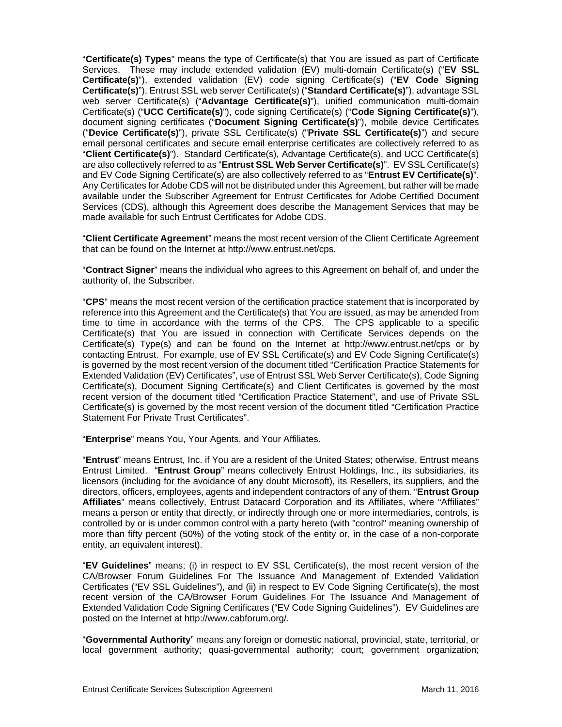"**Certificate(s) Types**" means the type of Certificate(s) that You are issued as part of Certificate Services. These may include extended validation (EV) multi-domain Certificate(s) ("**EV SSL Certificate(s)**"), extended validation (EV) code signing Certificate(s) ("**EV Code Signing Certificate(s)**"), Entrust SSL web server Certificate(s) ("**Standard Certificate(s)**"), advantage SSL web server Certificate(s) ("**Advantage Certificate(s)**"), unified communication multi-domain Certificate(s) ("**UCC Certificate(s)**"), code signing Certificate(s) ("**Code Signing Certificate(s)**"), document signing certificates ("**Document Signing Certificate(s)**"), mobile device Certificates ("**Device Certificate(s)**"), private SSL Certificate(s) ("**Private SSL Certificate(s)**") and secure email personal certificates and secure email enterprise certificates are collectively referred to as "**Client Certificate(s)**"). Standard Certificate(s), Advantage Certificate(s), and UCC Certificate(s) are also collectively referred to as "**Entrust SSL Web Server Certificate(s)**". EV SSL Certificate(s) and EV Code Signing Certificate(s) are also collectively referred to as "**Entrust EV Certificate(s)**". Any Certificates for Adobe CDS will not be distributed under this Agreement, but rather will be made available under the Subscriber Agreement for Entrust Certificates for Adobe Certified Document Services (CDS), although this Agreement does describe the Management Services that may be made available for such Entrust Certificates for Adobe CDS.

"**Client Certificate Agreement**" means the most recent version of the Client Certificate Agreement that can be found on the Internet at http://www.entrust.net/cps.

"**Contract Signer**" means the individual who agrees to this Agreement on behalf of, and under the authority of, the Subscriber.

"**CPS**" means the most recent version of the certification practice statement that is incorporated by reference into this Agreement and the Certificate(s) that You are issued, as may be amended from time to time in accordance with the terms of the CPS. The CPS applicable to a specific Certificate(s) that You are issued in connection with Certificate Services depends on the Certificate(s) Type(s) and can be found on the Internet at http://www.entrust.net/cps or by contacting Entrust. For example, use of EV SSL Certificate(s) and EV Code Signing Certificate(s) is governed by the most recent version of the document titled "Certification Practice Statements for Extended Validation (EV) Certificates", use of Entrust SSL Web Server Certificate(s), Code Signing Certificate(s), Document Signing Certificate(s) and Client Certificates is governed by the most recent version of the document titled "Certification Practice Statement", and use of Private SSL Certificate(s) is governed by the most recent version of the document titled "Certification Practice Statement For Private Trust Certificates".

"**Enterprise**" means You, Your Agents, and Your Affiliates.

"**Entrust**" means Entrust, Inc. if You are a resident of the United States; otherwise, Entrust means Entrust Limited. "**Entrust Group**" means collectively Entrust Holdings, Inc., its subsidiaries, its licensors (including for the avoidance of any doubt Microsoft), its Resellers, its suppliers, and the directors, officers, employees, agents and independent contractors of any of them. "**Entrust Group Affiliates**" means collectively, Entrust Datacard Corporation and its Affiliates, where "Affiliates" means a person or entity that directly, or indirectly through one or more intermediaries, controls, is controlled by or is under common control with a party hereto (with "control" meaning ownership of more than fifty percent (50%) of the voting stock of the entity or, in the case of a non-corporate entity, an equivalent interest).

"**EV Guidelines**" means; (i) in respect to EV SSL Certificate(s), the most recent version of the CA/Browser Forum Guidelines For The Issuance And Management of Extended Validation Certificates ("EV SSL Guidelines"), and (ii) in respect to EV Code Signing Certificate(s), the most recent version of the CA/Browser Forum Guidelines For The Issuance And Management of Extended Validation Code Signing Certificates ("EV Code Signing Guidelines"). EV Guidelines are posted on the Internet at http://www.cabforum.org/.

"**Governmental Authority**" means any foreign or domestic national, provincial, state, territorial, or local government authority; quasi-governmental authority; court; government organization;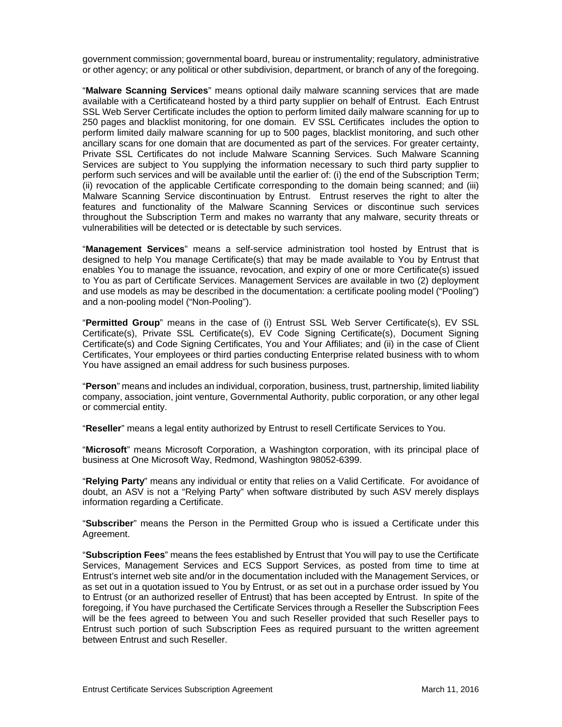government commission; governmental board, bureau or instrumentality; regulatory, administrative or other agency; or any political or other subdivision, department, or branch of any of the foregoing.

"**Malware Scanning Services**" means optional daily malware scanning services that are made available with a Certificateand hosted by a third party supplier on behalf of Entrust. Each Entrust SSL Web Server Certificate includes the option to perform limited daily malware scanning for up to 250 pages and blacklist monitoring, for one domain. EV SSL Certificates includes the option to perform limited daily malware scanning for up to 500 pages, blacklist monitoring, and such other ancillary scans for one domain that are documented as part of the services. For greater certainty, Private SSL Certificates do not include Malware Scanning Services. Such Malware Scanning Services are subject to You supplying the information necessary to such third party supplier to perform such services and will be available until the earlier of: (i) the end of the Subscription Term; (ii) revocation of the applicable Certificate corresponding to the domain being scanned; and (iii) Malware Scanning Service discontinuation by Entrust. Entrust reserves the right to alter the features and functionality of the Malware Scanning Services or discontinue such services throughout the Subscription Term and makes no warranty that any malware, security threats or vulnerabilities will be detected or is detectable by such services.

"**Management Services**" means a self-service administration tool hosted by Entrust that is designed to help You manage Certificate(s) that may be made available to You by Entrust that enables You to manage the issuance, revocation, and expiry of one or more Certificate(s) issued to You as part of Certificate Services. Management Services are available in two (2) deployment and use models as may be described in the documentation: a certificate pooling model ("Pooling") and a non-pooling model ("Non-Pooling").

"**Permitted Group**" means in the case of (i) Entrust SSL Web Server Certificate(s), EV SSL Certificate(s), Private SSL Certificate(s), EV Code Signing Certificate(s), Document Signing Certificate(s) and Code Signing Certificates, You and Your Affiliates; and (ii) in the case of Client Certificates, Your employees or third parties conducting Enterprise related business with to whom You have assigned an email address for such business purposes.

"**Person**" means and includes an individual, corporation, business, trust, partnership, limited liability company, association, joint venture, Governmental Authority, public corporation, or any other legal or commercial entity.

"**Reseller**" means a legal entity authorized by Entrust to resell Certificate Services to You.

"**Microsoft**" means Microsoft Corporation, a Washington corporation, with its principal place of business at One Microsoft Way, Redmond, Washington 98052-6399.

"**Relying Party**" means any individual or entity that relies on a Valid Certificate. For avoidance of doubt, an ASV is not a "Relying Party" when software distributed by such ASV merely displays information regarding a Certificate.

"**Subscriber**" means the Person in the Permitted Group who is issued a Certificate under this Agreement.

"**Subscription Fees**" means the fees established by Entrust that You will pay to use the Certificate Services, Management Services and ECS Support Services, as posted from time to time at Entrust's internet web site and/or in the documentation included with the Management Services, or as set out in a quotation issued to You by Entrust, or as set out in a purchase order issued by You to Entrust (or an authorized reseller of Entrust) that has been accepted by Entrust. In spite of the foregoing, if You have purchased the Certificate Services through a Reseller the Subscription Fees will be the fees agreed to between You and such Reseller provided that such Reseller pays to Entrust such portion of such Subscription Fees as required pursuant to the written agreement between Entrust and such Reseller.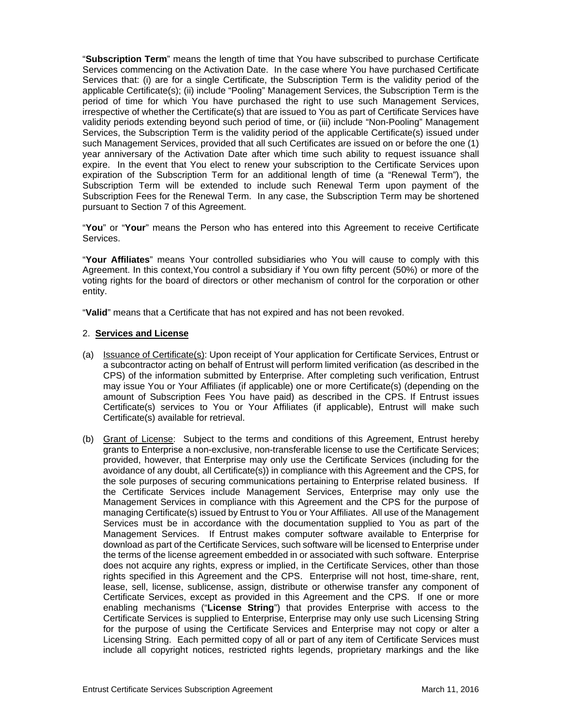"**Subscription Term**" means the length of time that You have subscribed to purchase Certificate Services commencing on the Activation Date. In the case where You have purchased Certificate Services that: (i) are for a single Certificate, the Subscription Term is the validity period of the applicable Certificate(s); (ii) include "Pooling" Management Services, the Subscription Term is the period of time for which You have purchased the right to use such Management Services, irrespective of whether the Certificate(s) that are issued to You as part of Certificate Services have validity periods extending beyond such period of time, or (iii) include "Non-Pooling" Management Services, the Subscription Term is the validity period of the applicable Certificate(s) issued under such Management Services, provided that all such Certificates are issued on or before the one (1) year anniversary of the Activation Date after which time such ability to request issuance shall expire. In the event that You elect to renew your subscription to the Certificate Services upon expiration of the Subscription Term for an additional length of time (a "Renewal Term"), the Subscription Term will be extended to include such Renewal Term upon payment of the Subscription Fees for the Renewal Term. In any case, the Subscription Term may be shortened pursuant to Section 7 of this Agreement.

"**You**" or "**Your**" means the Person who has entered into this Agreement to receive Certificate Services.

"**Your Affiliates**" means Your controlled subsidiaries who You will cause to comply with this Agreement. In this context,You control a subsidiary if You own fifty percent (50%) or more of the voting rights for the board of directors or other mechanism of control for the corporation or other entity.

"**Valid**" means that a Certificate that has not expired and has not been revoked.

#### 2. **Services and License**

- (a) Issuance of Certificate(s): Upon receipt of Your application for Certificate Services, Entrust or a subcontractor acting on behalf of Entrust will perform limited verification (as described in the CPS) of the information submitted by Enterprise. After completing such verification, Entrust may issue You or Your Affiliates (if applicable) one or more Certificate(s) (depending on the amount of Subscription Fees You have paid) as described in the CPS. If Entrust issues Certificate(s) services to You or Your Affiliates (if applicable), Entrust will make such Certificate(s) available for retrieval.
- (b) Grant of License: Subject to the terms and conditions of this Agreement, Entrust hereby grants to Enterprise a non-exclusive, non-transferable license to use the Certificate Services; provided, however, that Enterprise may only use the Certificate Services (including for the avoidance of any doubt, all Certificate(s)) in compliance with this Agreement and the CPS, for the sole purposes of securing communications pertaining to Enterprise related business. If the Certificate Services include Management Services, Enterprise may only use the Management Services in compliance with this Agreement and the CPS for the purpose of managing Certificate(s) issued by Entrust to You or Your Affiliates. All use of the Management Services must be in accordance with the documentation supplied to You as part of the Management Services. If Entrust makes computer software available to Enterprise for download as part of the Certificate Services, such software will be licensed to Enterprise under the terms of the license agreement embedded in or associated with such software. Enterprise does not acquire any rights, express or implied, in the Certificate Services, other than those rights specified in this Agreement and the CPS. Enterprise will not host, time-share, rent, lease, sell, license, sublicense, assign, distribute or otherwise transfer any component of Certificate Services, except as provided in this Agreement and the CPS. If one or more enabling mechanisms ("**License String**") that provides Enterprise with access to the Certificate Services is supplied to Enterprise, Enterprise may only use such Licensing String for the purpose of using the Certificate Services and Enterprise may not copy or alter a Licensing String. Each permitted copy of all or part of any item of Certificate Services must include all copyright notices, restricted rights legends, proprietary markings and the like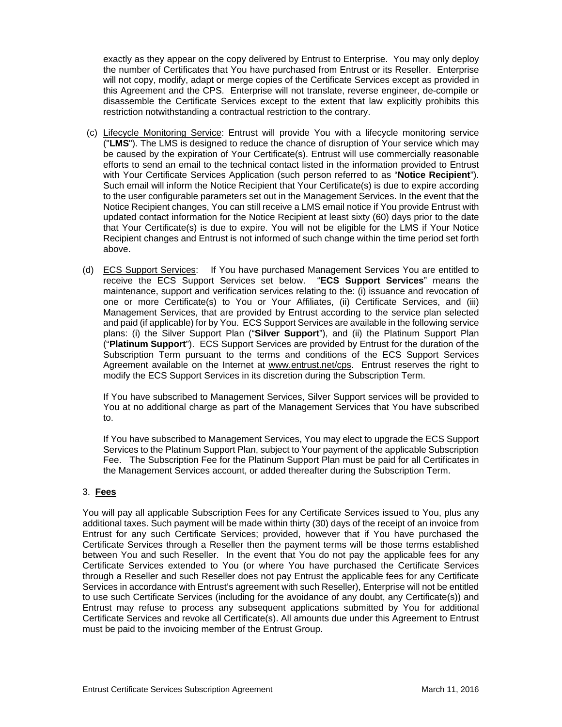exactly as they appear on the copy delivered by Entrust to Enterprise. You may only deploy the number of Certificates that You have purchased from Entrust or its Reseller. Enterprise will not copy, modify, adapt or merge copies of the Certificate Services except as provided in this Agreement and the CPS. Enterprise will not translate, reverse engineer, de-compile or disassemble the Certificate Services except to the extent that law explicitly prohibits this restriction notwithstanding a contractual restriction to the contrary.

- (c) Lifecycle Monitoring Service: Entrust will provide You with a lifecycle monitoring service ("**LMS**"). The LMS is designed to reduce the chance of disruption of Your service which may be caused by the expiration of Your Certificate(s). Entrust will use commercially reasonable efforts to send an email to the technical contact listed in the information provided to Entrust with Your Certificate Services Application (such person referred to as "**Notice Recipient**"). Such email will inform the Notice Recipient that Your Certificate(s) is due to expire according to the user configurable parameters set out in the Management Services. In the event that the Notice Recipient changes, You can still receive a LMS email notice if You provide Entrust with updated contact information for the Notice Recipient at least sixty (60) days prior to the date that Your Certificate(s) is due to expire. You will not be eligible for the LMS if Your Notice Recipient changes and Entrust is not informed of such change within the time period set forth above.
- (d) ECS Support Services: If You have purchased Management Services You are entitled to receive the ECS Support Services set below. "**ECS Support Services**" means the maintenance, support and verification services relating to the: (i) issuance and revocation of one or more Certificate(s) to You or Your Affiliates, (ii) Certificate Services, and (iii) Management Services, that are provided by Entrust according to the service plan selected and paid (if applicable) for by You. ECS Support Services are available in the following service plans: (i) the Silver Support Plan ("**Silver Support**"), and (ii) the Platinum Support Plan ("**Platinum Support**"). ECS Support Services are provided by Entrust for the duration of the Subscription Term pursuant to the terms and conditions of the ECS Support Services Agreement available on the Internet at www.entrust.net/cps. Entrust reserves the right to modify the ECS Support Services in its discretion during the Subscription Term.

If You have subscribed to Management Services, Silver Support services will be provided to You at no additional charge as part of the Management Services that You have subscribed to.

If You have subscribed to Management Services, You may elect to upgrade the ECS Support Services to the Platinum Support Plan, subject to Your payment of the applicable Subscription Fee. The Subscription Fee for the Platinum Support Plan must be paid for all Certificates in the Management Services account, or added thereafter during the Subscription Term.

# 3. **Fees**

You will pay all applicable Subscription Fees for any Certificate Services issued to You, plus any additional taxes. Such payment will be made within thirty (30) days of the receipt of an invoice from Entrust for any such Certificate Services; provided, however that if You have purchased the Certificate Services through a Reseller then the payment terms will be those terms established between You and such Reseller. In the event that You do not pay the applicable fees for any Certificate Services extended to You (or where You have purchased the Certificate Services through a Reseller and such Reseller does not pay Entrust the applicable fees for any Certificate Services in accordance with Entrust's agreement with such Reseller), Enterprise will not be entitled to use such Certificate Services (including for the avoidance of any doubt, any Certificate(s)) and Entrust may refuse to process any subsequent applications submitted by You for additional Certificate Services and revoke all Certificate(s). All amounts due under this Agreement to Entrust must be paid to the invoicing member of the Entrust Group.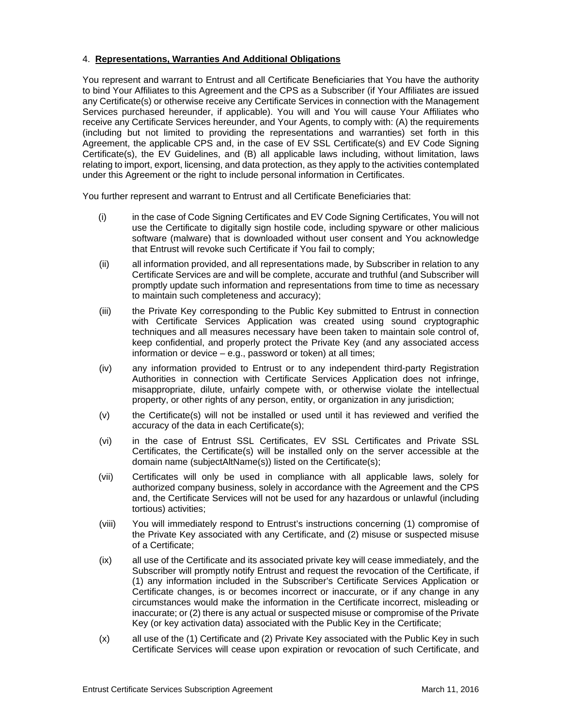## 4. **Representations, Warranties And Additional Obligations**

You represent and warrant to Entrust and all Certificate Beneficiaries that You have the authority to bind Your Affiliates to this Agreement and the CPS as a Subscriber (if Your Affiliates are issued any Certificate(s) or otherwise receive any Certificate Services in connection with the Management Services purchased hereunder, if applicable). You will and You will cause Your Affiliates who receive any Certificate Services hereunder, and Your Agents, to comply with: (A) the requirements (including but not limited to providing the representations and warranties) set forth in this Agreement, the applicable CPS and, in the case of EV SSL Certificate(s) and EV Code Signing Certificate(s), the EV Guidelines, and (B) all applicable laws including, without limitation, laws relating to import, export, licensing, and data protection, as they apply to the activities contemplated under this Agreement or the right to include personal information in Certificates.

You further represent and warrant to Entrust and all Certificate Beneficiaries that:

- (i) in the case of Code Signing Certificates and EV Code Signing Certificates, You will not use the Certificate to digitally sign hostile code, including spyware or other malicious software (malware) that is downloaded without user consent and You acknowledge that Entrust will revoke such Certificate if You fail to comply;
- (ii) all information provided, and all representations made, by Subscriber in relation to any Certificate Services are and will be complete, accurate and truthful (and Subscriber will promptly update such information and representations from time to time as necessary to maintain such completeness and accuracy);
- (iii) the Private Key corresponding to the Public Key submitted to Entrust in connection with Certificate Services Application was created using sound cryptographic techniques and all measures necessary have been taken to maintain sole control of, keep confidential, and properly protect the Private Key (and any associated access information or device – e.g., password or token) at all times;
- (iv) any information provided to Entrust or to any independent third-party Registration Authorities in connection with Certificate Services Application does not infringe, misappropriate, dilute, unfairly compete with, or otherwise violate the intellectual property, or other rights of any person, entity, or organization in any jurisdiction;
- (v) the Certificate(s) will not be installed or used until it has reviewed and verified the accuracy of the data in each Certificate(s);
- (vi) in the case of Entrust SSL Certificates, EV SSL Certificates and Private SSL Certificates, the Certificate(s) will be installed only on the server accessible at the domain name (subjectAltName(s)) listed on the Certificate(s);
- (vii) Certificates will only be used in compliance with all applicable laws, solely for authorized company business, solely in accordance with the Agreement and the CPS and, the Certificate Services will not be used for any hazardous or unlawful (including tortious) activities;
- (viii) You will immediately respond to Entrust's instructions concerning (1) compromise of the Private Key associated with any Certificate, and (2) misuse or suspected misuse of a Certificate;
- (ix) all use of the Certificate and its associated private key will cease immediately, and the Subscriber will promptly notify Entrust and request the revocation of the Certificate, if (1) any information included in the Subscriber's Certificate Services Application or Certificate changes, is or becomes incorrect or inaccurate, or if any change in any circumstances would make the information in the Certificate incorrect, misleading or inaccurate; or (2) there is any actual or suspected misuse or compromise of the Private Key (or key activation data) associated with the Public Key in the Certificate;
- (x) all use of the (1) Certificate and (2) Private Key associated with the Public Key in such Certificate Services will cease upon expiration or revocation of such Certificate, and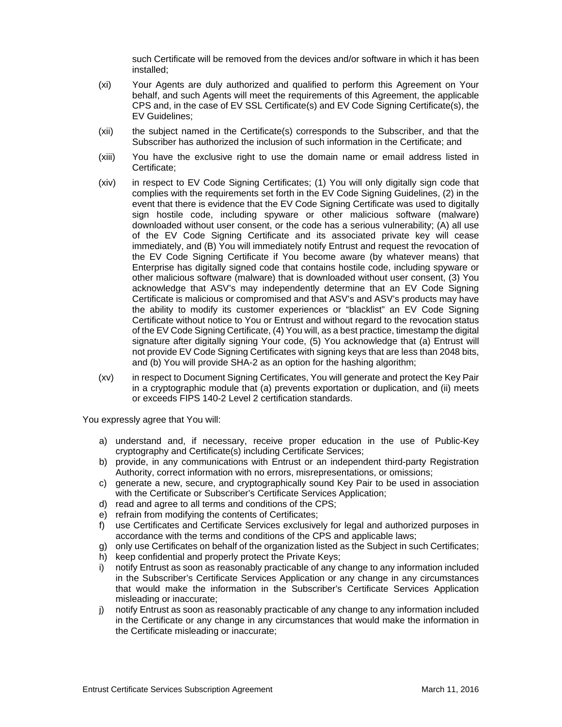such Certificate will be removed from the devices and/or software in which it has been installed;

- (xi) Your Agents are duly authorized and qualified to perform this Agreement on Your behalf, and such Agents will meet the requirements of this Agreement, the applicable CPS and, in the case of EV SSL Certificate(s) and EV Code Signing Certificate(s), the EV Guidelines;
- (xii) the subject named in the Certificate(s) corresponds to the Subscriber, and that the Subscriber has authorized the inclusion of such information in the Certificate; and
- (xiii) You have the exclusive right to use the domain name or email address listed in Certificate;
- (xiv) in respect to EV Code Signing Certificates; (1) You will only digitally sign code that complies with the requirements set forth in the EV Code Signing Guidelines, (2) in the event that there is evidence that the EV Code Signing Certificate was used to digitally sign hostile code, including spyware or other malicious software (malware) downloaded without user consent, or the code has a serious vulnerability; (A) all use of the EV Code Signing Certificate and its associated private key will cease immediately, and (B) You will immediately notify Entrust and request the revocation of the EV Code Signing Certificate if You become aware (by whatever means) that Enterprise has digitally signed code that contains hostile code, including spyware or other malicious software (malware) that is downloaded without user consent, (3) You acknowledge that ASV's may independently determine that an EV Code Signing Certificate is malicious or compromised and that ASV's and ASV's products may have the ability to modify its customer experiences or "blacklist" an EV Code Signing Certificate without notice to You or Entrust and without regard to the revocation status of the EV Code Signing Certificate, (4) You will, as a best practice, timestamp the digital signature after digitally signing Your code, (5) You acknowledge that (a) Entrust will not provide EV Code Signing Certificates with signing keys that are less than 2048 bits, and (b) You will provide SHA-2 as an option for the hashing algorithm;
- (xv) in respect to Document Signing Certificates, You will generate and protect the Key Pair in a cryptographic module that (a) prevents exportation or duplication, and (ii) meets or exceeds FIPS 140-2 Level 2 certification standards.

You expressly agree that You will:

- a) understand and, if necessary, receive proper education in the use of Public-Key cryptography and Certificate(s) including Certificate Services;
- b) provide, in any communications with Entrust or an independent third-party Registration Authority, correct information with no errors, misrepresentations, or omissions;
- c) generate a new, secure, and cryptographically sound Key Pair to be used in association with the Certificate or Subscriber's Certificate Services Application;
- d) read and agree to all terms and conditions of the CPS;
- e) refrain from modifying the contents of Certificates;
- f) use Certificates and Certificate Services exclusively for legal and authorized purposes in accordance with the terms and conditions of the CPS and applicable laws;
- g) only use Certificates on behalf of the organization listed as the Subject in such Certificates;
- h) keep confidential and properly protect the Private Keys;
- i) notify Entrust as soon as reasonably practicable of any change to any information included in the Subscriber's Certificate Services Application or any change in any circumstances that would make the information in the Subscriber's Certificate Services Application misleading or inaccurate;
- j) notify Entrust as soon as reasonably practicable of any change to any information included in the Certificate or any change in any circumstances that would make the information in the Certificate misleading or inaccurate;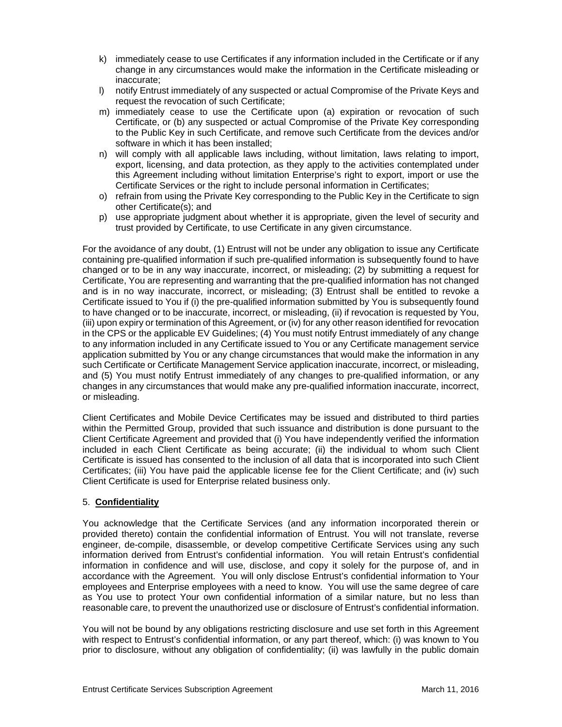- k) immediately cease to use Certificates if any information included in the Certificate or if any change in any circumstances would make the information in the Certificate misleading or inaccurate;
- l) notify Entrust immediately of any suspected or actual Compromise of the Private Keys and request the revocation of such Certificate;
- m) immediately cease to use the Certificate upon (a) expiration or revocation of such Certificate, or (b) any suspected or actual Compromise of the Private Key corresponding to the Public Key in such Certificate, and remove such Certificate from the devices and/or software in which it has been installed;
- n) will comply with all applicable laws including, without limitation, laws relating to import, export, licensing, and data protection, as they apply to the activities contemplated under this Agreement including without limitation Enterprise's right to export, import or use the Certificate Services or the right to include personal information in Certificates;
- o) refrain from using the Private Key corresponding to the Public Key in the Certificate to sign other Certificate(s); and
- p) use appropriate judgment about whether it is appropriate, given the level of security and trust provided by Certificate, to use Certificate in any given circumstance.

For the avoidance of any doubt, (1) Entrust will not be under any obligation to issue any Certificate containing pre-qualified information if such pre-qualified information is subsequently found to have changed or to be in any way inaccurate, incorrect, or misleading; (2) by submitting a request for Certificate, You are representing and warranting that the pre-qualified information has not changed and is in no way inaccurate, incorrect, or misleading; (3) Entrust shall be entitled to revoke a Certificate issued to You if (i) the pre-qualified information submitted by You is subsequently found to have changed or to be inaccurate, incorrect, or misleading, (ii) if revocation is requested by You, (iii) upon expiry or termination of this Agreement, or (iv) for any other reason identified for revocation in the CPS or the applicable EV Guidelines; (4) You must notify Entrust immediately of any change to any information included in any Certificate issued to You or any Certificate management service application submitted by You or any change circumstances that would make the information in any such Certificate or Certificate Management Service application inaccurate, incorrect, or misleading, and (5) You must notify Entrust immediately of any changes to pre-qualified information, or any changes in any circumstances that would make any pre-qualified information inaccurate, incorrect, or misleading.

Client Certificates and Mobile Device Certificates may be issued and distributed to third parties within the Permitted Group, provided that such issuance and distribution is done pursuant to the Client Certificate Agreement and provided that (i) You have independently verified the information included in each Client Certificate as being accurate; (ii) the individual to whom such Client Certificate is issued has consented to the inclusion of all data that is incorporated into such Client Certificates; (iii) You have paid the applicable license fee for the Client Certificate; and (iv) such Client Certificate is used for Enterprise related business only.

# 5. **Confidentiality**

You acknowledge that the Certificate Services (and any information incorporated therein or provided thereto) contain the confidential information of Entrust. You will not translate, reverse engineer, de-compile, disassemble, or develop competitive Certificate Services using any such information derived from Entrust's confidential information. You will retain Entrust's confidential information in confidence and will use, disclose, and copy it solely for the purpose of, and in accordance with the Agreement. You will only disclose Entrust's confidential information to Your employees and Enterprise employees with a need to know. You will use the same degree of care as You use to protect Your own confidential information of a similar nature, but no less than reasonable care, to prevent the unauthorized use or disclosure of Entrust's confidential information.

You will not be bound by any obligations restricting disclosure and use set forth in this Agreement with respect to Entrust's confidential information, or any part thereof, which: (i) was known to You prior to disclosure, without any obligation of confidentiality; (ii) was lawfully in the public domain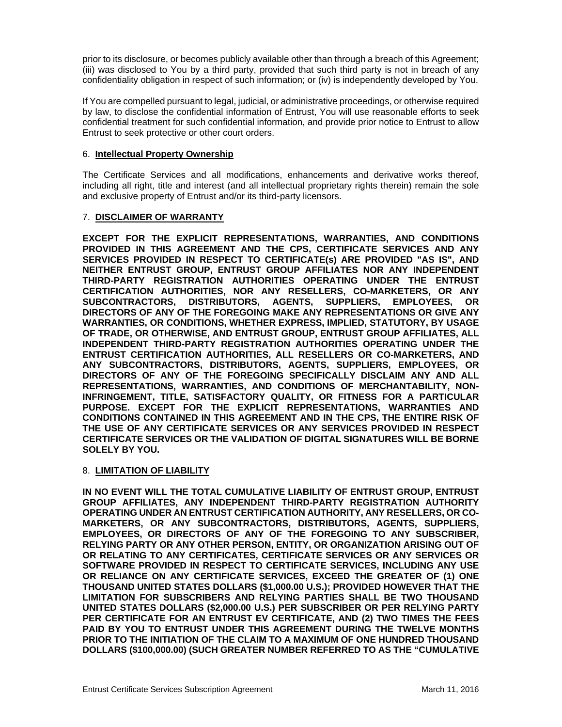prior to its disclosure, or becomes publicly available other than through a breach of this Agreement; (iii) was disclosed to You by a third party, provided that such third party is not in breach of any confidentiality obligation in respect of such information; or (iv) is independently developed by You.

If You are compelled pursuant to legal, judicial, or administrative proceedings, or otherwise required by law, to disclose the confidential information of Entrust, You will use reasonable efforts to seek confidential treatment for such confidential information, and provide prior notice to Entrust to allow Entrust to seek protective or other court orders.

### 6. **Intellectual Property Ownership**

The Certificate Services and all modifications, enhancements and derivative works thereof, including all right, title and interest (and all intellectual proprietary rights therein) remain the sole and exclusive property of Entrust and/or its third-party licensors.

## 7. **DISCLAIMER OF WARRANTY**

**EXCEPT FOR THE EXPLICIT REPRESENTATIONS, WARRANTIES, AND CONDITIONS PROVIDED IN THIS AGREEMENT AND THE CPS, CERTIFICATE SERVICES AND ANY SERVICES PROVIDED IN RESPECT TO CERTIFICATE(s) ARE PROVIDED "AS IS", AND NEITHER ENTRUST GROUP, ENTRUST GROUP AFFILIATES NOR ANY INDEPENDENT THIRD-PARTY REGISTRATION AUTHORITIES OPERATING UNDER THE ENTRUST CERTIFICATION AUTHORITIES, NOR ANY RESELLERS, CO-MARKETERS, OR ANY SUBCONTRACTORS, DISTRIBUTORS, AGENTS, SUPPLIERS, EMPLOYEES, OR DIRECTORS OF ANY OF THE FOREGOING MAKE ANY REPRESENTATIONS OR GIVE ANY WARRANTIES, OR CONDITIONS, WHETHER EXPRESS, IMPLIED, STATUTORY, BY USAGE OF TRADE, OR OTHERWISE, AND ENTRUST GROUP, ENTRUST GROUP AFFILIATES, ALL INDEPENDENT THIRD-PARTY REGISTRATION AUTHORITIES OPERATING UNDER THE ENTRUST CERTIFICATION AUTHORITIES, ALL RESELLERS OR CO-MARKETERS, AND ANY SUBCONTRACTORS, DISTRIBUTORS, AGENTS, SUPPLIERS, EMPLOYEES, OR DIRECTORS OF ANY OF THE FOREGOING SPECIFICALLY DISCLAIM ANY AND ALL REPRESENTATIONS, WARRANTIES, AND CONDITIONS OF MERCHANTABILITY, NON-INFRINGEMENT, TITLE, SATISFACTORY QUALITY, OR FITNESS FOR A PARTICULAR PURPOSE. EXCEPT FOR THE EXPLICIT REPRESENTATIONS, WARRANTIES AND CONDITIONS CONTAINED IN THIS AGREEMENT AND IN THE CPS, THE ENTIRE RISK OF THE USE OF ANY CERTIFICATE SERVICES OR ANY SERVICES PROVIDED IN RESPECT CERTIFICATE SERVICES OR THE VALIDATION OF DIGITAL SIGNATURES WILL BE BORNE SOLELY BY YOU.**

#### 8. **LIMITATION OF LIABILITY**

**IN NO EVENT WILL THE TOTAL CUMULATIVE LIABILITY OF ENTRUST GROUP, ENTRUST GROUP AFFILIATES, ANY INDEPENDENT THIRD-PARTY REGISTRATION AUTHORITY OPERATING UNDER AN ENTRUST CERTIFICATION AUTHORITY, ANY RESELLERS, OR CO-MARKETERS, OR ANY SUBCONTRACTORS, DISTRIBUTORS, AGENTS, SUPPLIERS, EMPLOYEES, OR DIRECTORS OF ANY OF THE FOREGOING TO ANY SUBSCRIBER, RELYING PARTY OR ANY OTHER PERSON, ENTITY, OR ORGANIZATION ARISING OUT OF OR RELATING TO ANY CERTIFICATES, CERTIFICATE SERVICES OR ANY SERVICES OR SOFTWARE PROVIDED IN RESPECT TO CERTIFICATE SERVICES, INCLUDING ANY USE OR RELIANCE ON ANY CERTIFICATE SERVICES, EXCEED THE GREATER OF (1) ONE THOUSAND UNITED STATES DOLLARS (\$1,000.00 U.S.); PROVIDED HOWEVER THAT THE LIMITATION FOR SUBSCRIBERS AND RELYING PARTIES SHALL BE TWO THOUSAND UNITED STATES DOLLARS (\$2,000.00 U.S.) PER SUBSCRIBER OR PER RELYING PARTY PER CERTIFICATE FOR AN ENTRUST EV CERTIFICATE, AND (2) TWO TIMES THE FEES PAID BY YOU TO ENTRUST UNDER THIS AGREEMENT DURING THE TWELVE MONTHS PRIOR TO THE INITIATION OF THE CLAIM TO A MAXIMUM OF ONE HUNDRED THOUSAND DOLLARS (\$100,000.00) (SUCH GREATER NUMBER REFERRED TO AS THE "CUMULATIVE**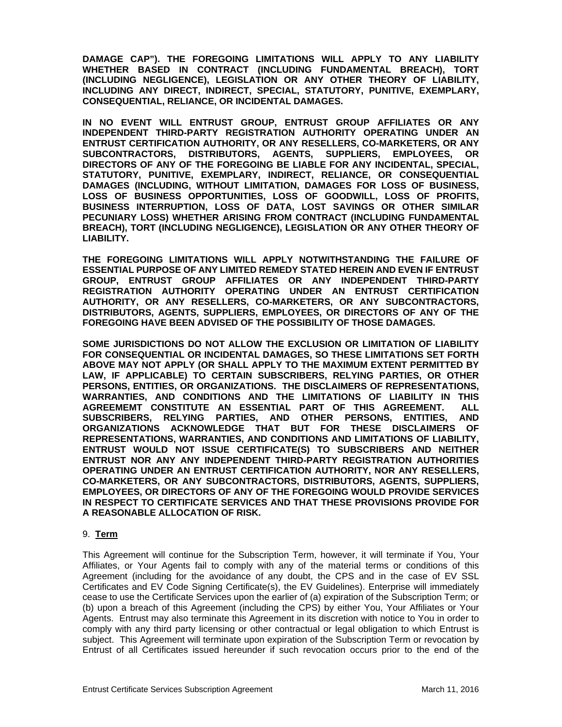**DAMAGE CAP"). THE FOREGOING LIMITATIONS WILL APPLY TO ANY LIABILITY WHETHER BASED IN CONTRACT (INCLUDING FUNDAMENTAL BREACH), TORT (INCLUDING NEGLIGENCE), LEGISLATION OR ANY OTHER THEORY OF LIABILITY, INCLUDING ANY DIRECT, INDIRECT, SPECIAL, STATUTORY, PUNITIVE, EXEMPLARY, CONSEQUENTIAL, RELIANCE, OR INCIDENTAL DAMAGES.** 

**IN NO EVENT WILL ENTRUST GROUP, ENTRUST GROUP AFFILIATES OR ANY INDEPENDENT THIRD-PARTY REGISTRATION AUTHORITY OPERATING UNDER AN ENTRUST CERTIFICATION AUTHORITY, OR ANY RESELLERS, CO-MARKETERS, OR ANY SUBCONTRACTORS, DISTRIBUTORS, AGENTS, SUPPLIERS, EMPLOYEES, OR DIRECTORS OF ANY OF THE FOREGOING BE LIABLE FOR ANY INCIDENTAL, SPECIAL, STATUTORY, PUNITIVE, EXEMPLARY, INDIRECT, RELIANCE, OR CONSEQUENTIAL DAMAGES (INCLUDING, WITHOUT LIMITATION, DAMAGES FOR LOSS OF BUSINESS, LOSS OF BUSINESS OPPORTUNITIES, LOSS OF GOODWILL, LOSS OF PROFITS, BUSINESS INTERRUPTION, LOSS OF DATA, LOST SAVINGS OR OTHER SIMILAR PECUNIARY LOSS) WHETHER ARISING FROM CONTRACT (INCLUDING FUNDAMENTAL BREACH), TORT (INCLUDING NEGLIGENCE), LEGISLATION OR ANY OTHER THEORY OF LIABILITY.** 

**THE FOREGOING LIMITATIONS WILL APPLY NOTWITHSTANDING THE FAILURE OF ESSENTIAL PURPOSE OF ANY LIMITED REMEDY STATED HEREIN AND EVEN IF ENTRUST GROUP, ENTRUST GROUP AFFILIATES OR ANY INDEPENDENT THIRD-PARTY REGISTRATION AUTHORITY OPERATING UNDER AN ENTRUST CERTIFICATION AUTHORITY, OR ANY RESELLERS, CO-MARKETERS, OR ANY SUBCONTRACTORS, DISTRIBUTORS, AGENTS, SUPPLIERS, EMPLOYEES, OR DIRECTORS OF ANY OF THE FOREGOING HAVE BEEN ADVISED OF THE POSSIBILITY OF THOSE DAMAGES.** 

**SOME JURISDICTIONS DO NOT ALLOW THE EXCLUSION OR LIMITATION OF LIABILITY FOR CONSEQUENTIAL OR INCIDENTAL DAMAGES, SO THESE LIMITATIONS SET FORTH ABOVE MAY NOT APPLY (OR SHALL APPLY TO THE MAXIMUM EXTENT PERMITTED BY LAW, IF APPLICABLE) TO CERTAIN SUBSCRIBERS, RELYING PARTIES, OR OTHER PERSONS, ENTITIES, OR ORGANIZATIONS. THE DISCLAIMERS OF REPRESENTATIONS, WARRANTIES, AND CONDITIONS AND THE LIMITATIONS OF LIABILITY IN THIS AGREEMEMT CONSTITUTE AN ESSENTIAL PART OF THIS AGREEMENT. ALL SUBSCRIBERS, RELYING PARTIES, AND OTHER PERSONS, ENTITIES, AND ORGANIZATIONS ACKNOWLEDGE THAT BUT FOR THESE DISCLAIMERS OF REPRESENTATIONS, WARRANTIES, AND CONDITIONS AND LIMITATIONS OF LIABILITY, ENTRUST WOULD NOT ISSUE CERTIFICATE(S) TO SUBSCRIBERS AND NEITHER ENTRUST NOR ANY ANY INDEPENDENT THIRD-PARTY REGISTRATION AUTHORITIES OPERATING UNDER AN ENTRUST CERTIFICATION AUTHORITY, NOR ANY RESELLERS, CO-MARKETERS, OR ANY SUBCONTRACTORS, DISTRIBUTORS, AGENTS, SUPPLIERS, EMPLOYEES, OR DIRECTORS OF ANY OF THE FOREGOING WOULD PROVIDE SERVICES IN RESPECT TO CERTIFICATE SERVICES AND THAT THESE PROVISIONS PROVIDE FOR A REASONABLE ALLOCATION OF RISK.** 

#### 9. **Term**

This Agreement will continue for the Subscription Term, however, it will terminate if You, Your Affiliates, or Your Agents fail to comply with any of the material terms or conditions of this Agreement (including for the avoidance of any doubt, the CPS and in the case of EV SSL Certificates and EV Code Signing Certificate(s), the EV Guidelines). Enterprise will immediately cease to use the Certificate Services upon the earlier of (a) expiration of the Subscription Term; or (b) upon a breach of this Agreement (including the CPS) by either You, Your Affiliates or Your Agents. Entrust may also terminate this Agreement in its discretion with notice to You in order to comply with any third party licensing or other contractual or legal obligation to which Entrust is subject. This Agreement will terminate upon expiration of the Subscription Term or revocation by Entrust of all Certificates issued hereunder if such revocation occurs prior to the end of the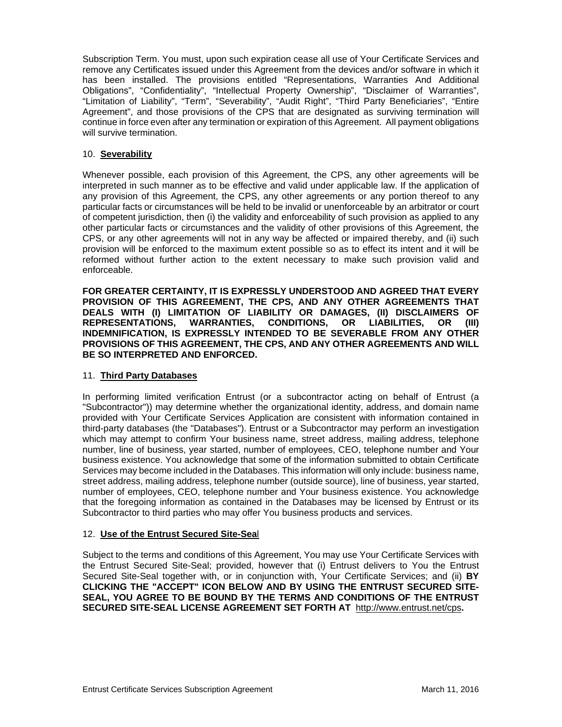Subscription Term. You must, upon such expiration cease all use of Your Certificate Services and remove any Certificates issued under this Agreement from the devices and/or software in which it has been installed. The provisions entitled "Representations, Warranties And Additional Obligations", "Confidentiality", "Intellectual Property Ownership", "Disclaimer of Warranties", "Limitation of Liability", "Term", "Severability", "Audit Right", "Third Party Beneficiaries", "Entire Agreement", and those provisions of the CPS that are designated as surviving termination will continue in force even after any termination or expiration of this Agreement. All payment obligations will survive termination.

## 10. **Severability**

Whenever possible, each provision of this Agreement, the CPS, any other agreements will be interpreted in such manner as to be effective and valid under applicable law. If the application of any provision of this Agreement, the CPS, any other agreements or any portion thereof to any particular facts or circumstances will be held to be invalid or unenforceable by an arbitrator or court of competent jurisdiction, then (i) the validity and enforceability of such provision as applied to any other particular facts or circumstances and the validity of other provisions of this Agreement, the CPS, or any other agreements will not in any way be affected or impaired thereby, and (ii) such provision will be enforced to the maximum extent possible so as to effect its intent and it will be reformed without further action to the extent necessary to make such provision valid and enforceable.

**FOR GREATER CERTAINTY, IT IS EXPRESSLY UNDERSTOOD AND AGREED THAT EVERY PROVISION OF THIS AGREEMENT, THE CPS, AND ANY OTHER AGREEMENTS THAT DEALS WITH (I) LIMITATION OF LIABILITY OR DAMAGES, (II) DISCLAIMERS OF REPRESENTATIONS, WARRANTIES, CONDITIONS, OR LIABILITIES, OR (III) INDEMNIFICATION, IS EXPRESSLY INTENDED TO BE SEVERABLE FROM ANY OTHER PROVISIONS OF THIS AGREEMENT, THE CPS, AND ANY OTHER AGREEMENTS AND WILL BE SO INTERPRETED AND ENFORCED.** 

#### 11. **Third Party Databases**

In performing limited verification Entrust (or a subcontractor acting on behalf of Entrust (a "Subcontractor")) may determine whether the organizational identity, address, and domain name provided with Your Certificate Services Application are consistent with information contained in third-party databases (the "Databases"). Entrust or a Subcontractor may perform an investigation which may attempt to confirm Your business name, street address, mailing address, telephone number, line of business, year started, number of employees, CEO, telephone number and Your business existence. You acknowledge that some of the information submitted to obtain Certificate Services may become included in the Databases. This information will only include: business name, street address, mailing address, telephone number (outside source), line of business, year started, number of employees, CEO, telephone number and Your business existence. You acknowledge that the foregoing information as contained in the Databases may be licensed by Entrust or its Subcontractor to third parties who may offer You business products and services.

#### 12. **Use of the Entrust Secured Site-Sea**l

Subject to the terms and conditions of this Agreement, You may use Your Certificate Services with the Entrust Secured Site-Seal; provided, however that (i) Entrust delivers to You the Entrust Secured Site-Seal together with, or in conjunction with, Your Certificate Services; and (ii) **BY CLICKING THE "ACCEPT" ICON BELOW AND BY USING THE ENTRUST SECURED SITE-SEAL, YOU AGREE TO BE BOUND BY THE TERMS AND CONDITIONS OF THE ENTRUST SECURED SITE-SEAL LICENSE AGREEMENT SET FORTH AT** http://www.entrust.net/cps**.**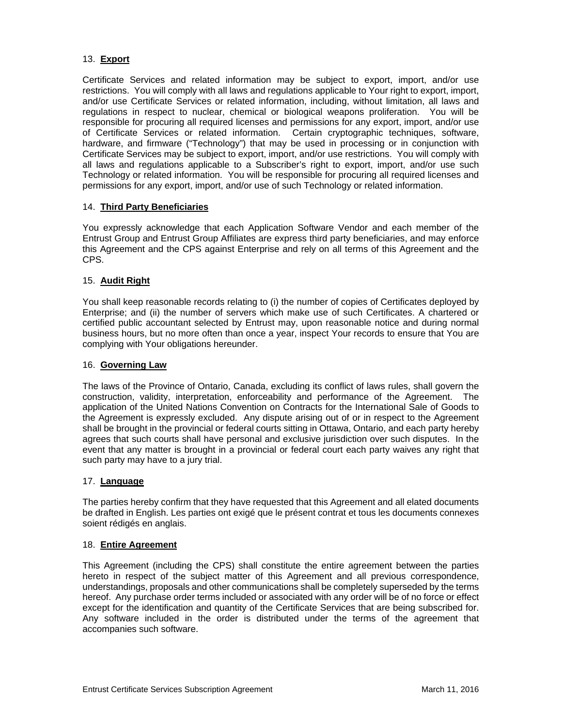# 13. **Export**

Certificate Services and related information may be subject to export, import, and/or use restrictions. You will comply with all laws and regulations applicable to Your right to export, import, and/or use Certificate Services or related information, including, without limitation, all laws and regulations in respect to nuclear, chemical or biological weapons proliferation. You will be responsible for procuring all required licenses and permissions for any export, import, and/or use of Certificate Services or related information. Certain cryptographic techniques, software, hardware, and firmware ("Technology") that may be used in processing or in conjunction with Certificate Services may be subject to export, import, and/or use restrictions. You will comply with all laws and regulations applicable to a Subscriber's right to export, import, and/or use such Technology or related information. You will be responsible for procuring all required licenses and permissions for any export, import, and/or use of such Technology or related information.

## 14. **Third Party Beneficiaries**

You expressly acknowledge that each Application Software Vendor and each member of the Entrust Group and Entrust Group Affiliates are express third party beneficiaries, and may enforce this Agreement and the CPS against Enterprise and rely on all terms of this Agreement and the CPS.

## 15. **Audit Right**

You shall keep reasonable records relating to (i) the number of copies of Certificates deployed by Enterprise; and (ii) the number of servers which make use of such Certificates. A chartered or certified public accountant selected by Entrust may, upon reasonable notice and during normal business hours, but no more often than once a year, inspect Your records to ensure that You are complying with Your obligations hereunder.

## 16. **Governing Law**

The laws of the Province of Ontario, Canada, excluding its conflict of laws rules, shall govern the construction, validity, interpretation, enforceability and performance of the Agreement. The application of the United Nations Convention on Contracts for the International Sale of Goods to the Agreement is expressly excluded. Any dispute arising out of or in respect to the Agreement shall be brought in the provincial or federal courts sitting in Ottawa, Ontario, and each party hereby agrees that such courts shall have personal and exclusive jurisdiction over such disputes. In the event that any matter is brought in a provincial or federal court each party waives any right that such party may have to a jury trial.

#### 17. **Language**

The parties hereby confirm that they have requested that this Agreement and all elated documents be drafted in English. Les parties ont exigé que le présent contrat et tous les documents connexes soient rédigés en anglais.

#### 18. **Entire Agreement**

This Agreement (including the CPS) shall constitute the entire agreement between the parties hereto in respect of the subject matter of this Agreement and all previous correspondence, understandings, proposals and other communications shall be completely superseded by the terms hereof. Any purchase order terms included or associated with any order will be of no force or effect except for the identification and quantity of the Certificate Services that are being subscribed for. Any software included in the order is distributed under the terms of the agreement that accompanies such software.